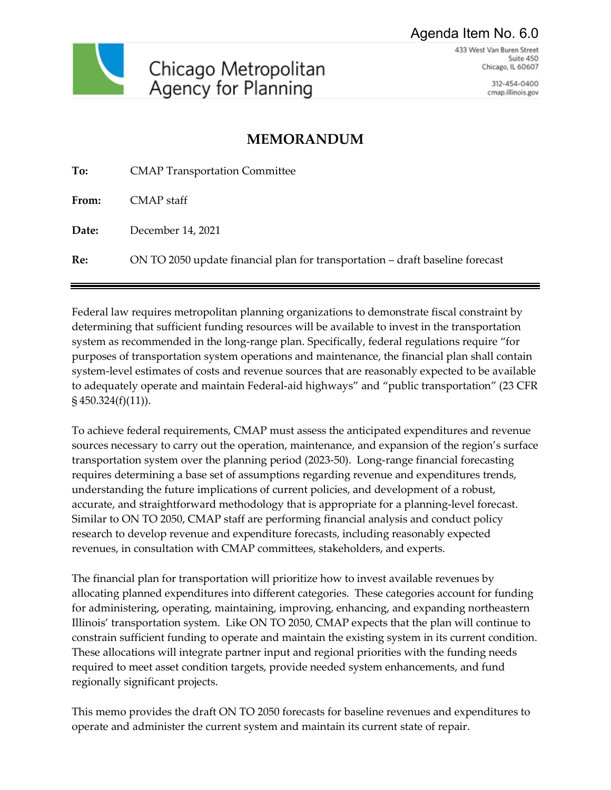Agenda Item No. 6.0



433 West Van Buren Street Suite 450 Chicago, IL 60607

> 312-454-0400 cmap.illinois.gov

# **MEMORANDUM**

| To:   | <b>CMAP Transportation Committee</b>                                          |
|-------|-------------------------------------------------------------------------------|
| From: | CMAP staff                                                                    |
| Date: | December 14, 2021                                                             |
| Re:   | ON TO 2050 update financial plan for transportation – draft baseline forecast |

Federal law requires metropolitan planning organizations to demonstrate fiscal constraint by determining that sufficient funding resources will be available to invest in the transportation system as recommended in the long-range plan. Specifically, federal regulations require "for purposes of transportation system operations and maintenance, the financial plan shall contain system-level estimates of costs and revenue sources that are reasonably expected to be available to adequately operate and maintain Federal-aid highways" and "public transportation" (23 CFR § 450.324(f)(11)).

To achieve federal requirements, CMAP must assess the anticipated expenditures and revenue sources necessary to carry out the operation, maintenance, and expansion of the region's surface transportation system over the planning period (2023-50). Long-range financial forecasting requires determining a base set of assumptions regarding revenue and expenditures trends, understanding the future implications of current policies, and development of a robust, accurate, and straightforward methodology that is appropriate for a planning-level forecast. Similar to ON TO 2050, CMAP staff are performing financial analysis and conduct policy research to develop revenue and expenditure forecasts, including reasonably expected revenues, in consultation with CMAP committees, stakeholders, and experts.

The financial plan for transportation will prioritize how to invest available revenues by allocating planned expenditures into different categories. These categories account for funding for administering, operating, maintaining, improving, enhancing, and expanding northeastern Illinois' transportation system. Like ON TO 2050, CMAP expects that the plan will continue to constrain sufficient funding to operate and maintain the existing system in its current condition. These allocations will integrate partner input and regional priorities with the funding needs required to meet asset condition targets, provide needed system enhancements, and fund regionally significant projects.

This memo provides the draft ON TO 2050 forecasts for baseline revenues and expenditures to operate and administer the current system and maintain its current state of repair.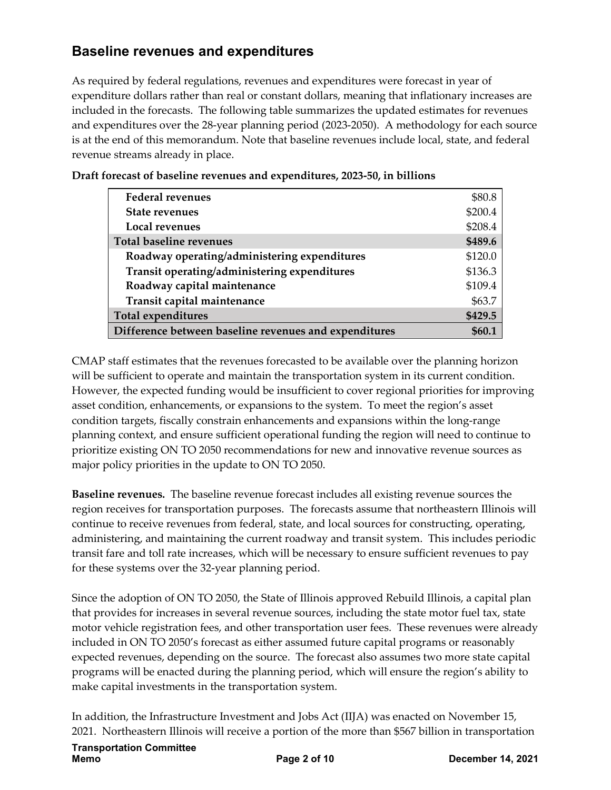# **Baseline revenues and expenditures**

As required by federal regulations, revenues and expenditures were forecast in year of expenditure dollars rather than real or constant dollars, meaning that inflationary increases are included in the forecasts. The following table summarizes the updated estimates for revenues and expenditures over the 28-year planning period (2023-2050). A methodology for each source is at the end of this memorandum. Note that baseline revenues include local, state, and federal revenue streams already in place.

| <b>Federal revenues</b>                               | \$80.8  |
|-------------------------------------------------------|---------|
| <b>State revenues</b>                                 | \$200.4 |
| Local revenues                                        | \$208.4 |
| <b>Total baseline revenues</b>                        | \$489.6 |
| Roadway operating/administering expenditures          | \$120.0 |
| Transit operating/administering expenditures          | \$136.3 |
| Roadway capital maintenance                           | \$109.4 |
| Transit capital maintenance                           | \$63.7  |
| <b>Total expenditures</b>                             | \$429.5 |
| Difference between baseline revenues and expenditures |         |

**Draft forecast of baseline revenues and expenditures, 2023-50, in billions** 

CMAP staff estimates that the revenues forecasted to be available over the planning horizon will be sufficient to operate and maintain the transportation system in its current condition. However, the expected funding would be insufficient to cover regional priorities for improving asset condition, enhancements, or expansions to the system. To meet the region's asset condition targets, fiscally constrain enhancements and expansions within the long-range planning context, and ensure sufficient operational funding the region will need to continue to prioritize existing ON TO 2050 recommendations for new and innovative revenue sources as major policy priorities in the update to ON TO 2050.

**Baseline revenues.** The baseline revenue forecast includes all existing revenue sources the region receives for transportation purposes. The forecasts assume that northeastern Illinois will continue to receive revenues from federal, state, and local sources for constructing, operating, administering, and maintaining the current roadway and transit system. This includes periodic transit fare and toll rate increases, which will be necessary to ensure sufficient revenues to pay for these systems over the 32-year planning period.

Since the adoption of ON TO 2050, the State of Illinois approved Rebuild Illinois, a capital plan that provides for increases in several revenue sources, including the state motor fuel tax, state motor vehicle registration fees, and other transportation user fees. These revenues were already included in ON TO 2050's forecast as either assumed future capital programs or reasonably expected revenues, depending on the source. The forecast also assumes two more state capital programs will be enacted during the planning period, which will ensure the region's ability to make capital investments in the transportation system.

In addition, the Infrastructure Investment and Jobs Act (IIJA) was enacted on November 15, 2021. Northeastern Illinois will receive a portion of the more than \$567 billion in transportation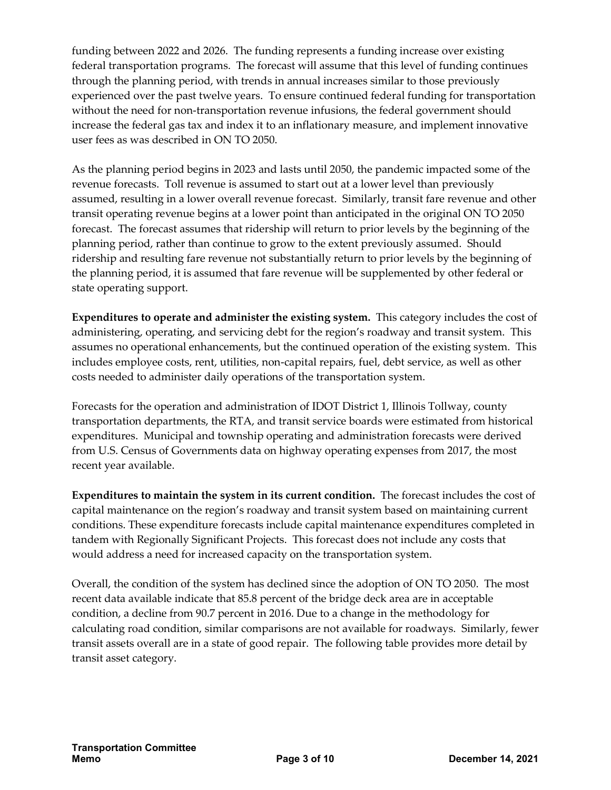funding between 2022 and 2026. The funding represents a funding increase over existing federal transportation programs. The forecast will assume that this level of funding continues through the planning period, with trends in annual increases similar to those previously experienced over the past twelve years. To ensure continued federal funding for transportation without the need for non-transportation revenue infusions, the federal government should increase the federal gas tax and index it to an inflationary measure, and implement innovative user fees as was described in ON TO 2050.

As the planning period begins in 2023 and lasts until 2050, the pandemic impacted some of the revenue forecasts. Toll revenue is assumed to start out at a lower level than previously assumed, resulting in a lower overall revenue forecast. Similarly, transit fare revenue and other transit operating revenue begins at a lower point than anticipated in the original ON TO 2050 forecast. The forecast assumes that ridership will return to prior levels by the beginning of the planning period, rather than continue to grow to the extent previously assumed. Should ridership and resulting fare revenue not substantially return to prior levels by the beginning of the planning period, it is assumed that fare revenue will be supplemented by other federal or state operating support.

**Expenditures to operate and administer the existing system.** This category includes the cost of administering, operating, and servicing debt for the region's roadway and transit system. This assumes no operational enhancements, but the continued operation of the existing system. This includes employee costs, rent, utilities, non-capital repairs, fuel, debt service, as well as other costs needed to administer daily operations of the transportation system.

Forecasts for the operation and administration of IDOT District 1, Illinois Tollway, county transportation departments, the RTA, and transit service boards were estimated from historical expenditures. Municipal and township operating and administration forecasts were derived from U.S. Census of Governments data on highway operating expenses from 2017, the most recent year available.

**Expenditures to maintain the system in its current condition.** The forecast includes the cost of capital maintenance on the region's roadway and transit system based on maintaining current conditions. These expenditure forecasts include capital maintenance expenditures completed in tandem with Regionally Significant Projects. This forecast does not include any costs that would address a need for increased capacity on the transportation system.

Overall, the condition of the system has declined since the adoption of ON TO 2050. The most recent data available indicate that 85.8 percent of the bridge deck area are in acceptable condition, a decline from 90.7 percent in 2016. Due to a change in the methodology for calculating road condition, similar comparisons are not available for roadways. Similarly, fewer transit assets overall are in a state of good repair. The following table provides more detail by transit asset category.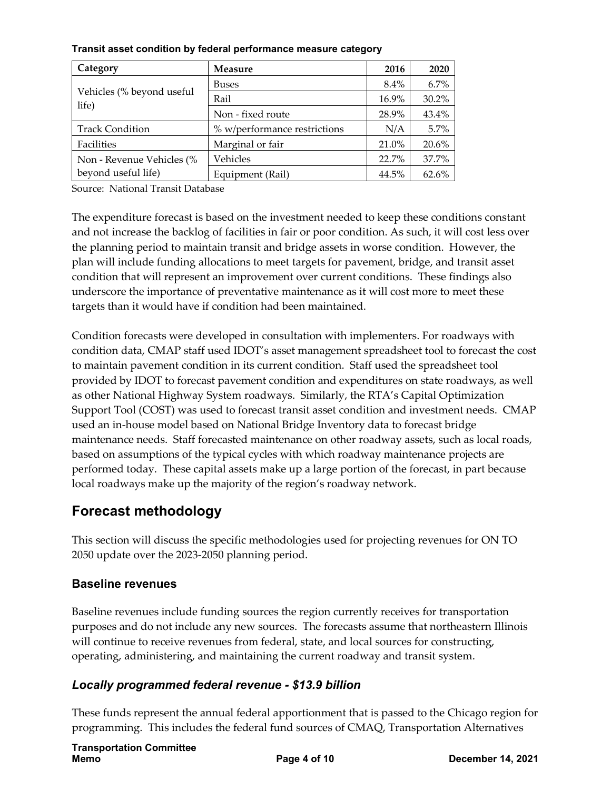| Category                           | <b>Measure</b>               | 2016    | 2020  |
|------------------------------------|------------------------------|---------|-------|
|                                    | <b>Buses</b>                 | $8.4\%$ | 6.7%  |
| Vehicles (% beyond useful<br>life) | Rail                         | 16.9%   | 30.2% |
|                                    | Non - fixed route            | 28.9%   | 43.4% |
| <b>Track Condition</b>             | % w/performance restrictions | N/A     | 5.7%  |
| Facilities                         | Marginal or fair             | 21.0%   | 20.6% |
| Non - Revenue Vehicles (%          | Vehicles                     | 22.7%   | 37.7% |
| beyond useful life)                | Equipment (Rail)             | 44.5%   | 62.6% |

#### **Transit asset condition by federal performance measure category**

Source: National Transit Database

The expenditure forecast is based on the investment needed to keep these conditions constant and not increase the backlog of facilities in fair or poor condition. As such, it will cost less over the planning period to maintain transit and bridge assets in worse condition. However, the plan will include funding allocations to meet targets for pavement, bridge, and transit asset condition that will represent an improvement over current conditions. These findings also underscore the importance of preventative maintenance as it will cost more to meet these targets than it would have if condition had been maintained.

Condition forecasts were developed in consultation with implementers. For roadways with condition data, CMAP staff used IDOT's asset management spreadsheet tool to forecast the cost to maintain pavement condition in its current condition. Staff used the spreadsheet tool provided by IDOT to forecast pavement condition and expenditures on state roadways, as well as other National Highway System roadways. Similarly, the RTA's Capital Optimization Support Tool (COST) was used to forecast transit asset condition and investment needs. CMAP used an in-house model based on National Bridge Inventory data to forecast bridge maintenance needs. Staff forecasted maintenance on other roadway assets, such as local roads, based on assumptions of the typical cycles with which roadway maintenance projects are performed today. These capital assets make up a large portion of the forecast, in part because local roadways make up the majority of the region's roadway network.

## **Forecast methodology**

This section will discuss the specific methodologies used for projecting revenues for ON TO 2050 update over the 2023-2050 planning period.

#### **Baseline revenues**

Baseline revenues include funding sources the region currently receives for transportation purposes and do not include any new sources. The forecasts assume that northeastern Illinois will continue to receive revenues from federal, state, and local sources for constructing, operating, administering, and maintaining the current roadway and transit system.

#### *Locally programmed federal revenue - \$13.9 billion*

These funds represent the annual federal apportionment that is passed to the Chicago region for programming. This includes the federal fund sources of CMAQ, Transportation Alternatives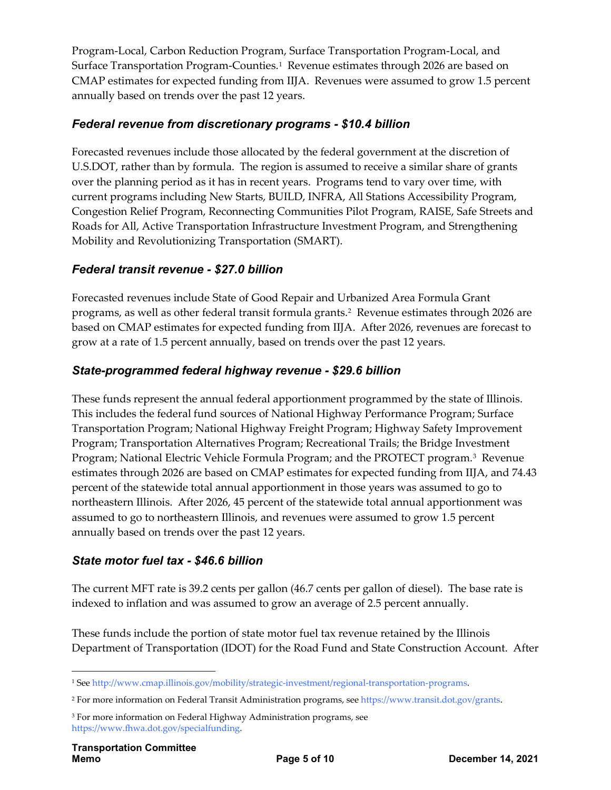Program-Local, Carbon Reduction Program, Surface Transportation Program-Local, and Surface Transportation Program-Counties.<sup>1</sup> Revenue estimates through 2026 are based on CMAP estimates for expected funding from IIJA. Revenues were assumed to grow 1.5 percent annually based on trends over the past 12 years.

#### *Federal revenue from discretionary programs - \$10.4 billion*

Forecasted revenues include those allocated by the federal government at the discretion of U.S.DOT, rather than by formula. The region is assumed to receive a similar share of grants over the planning period as it has in recent years. Programs tend to vary over time, with current programs including New Starts, BUILD, INFRA, All Stations Accessibility Program, Congestion Relief Program, Reconnecting Communities Pilot Program, RAISE, Safe Streets and Roads for All, Active Transportation Infrastructure Investment Program, and Strengthening Mobility and Revolutionizing Transportation (SMART).

#### *Federal transit revenue - \$27.0 billion*

Forecasted revenues include State of Good Repair and Urbanized Area Formula Grant programs, as well as other federal transit formula grants.[2](#page-4-1) Revenue estimates through 2026 are based on CMAP estimates for expected funding from IIJA. After 2026, revenues are forecast to grow at a rate of 1.5 percent annually, based on trends over the past 12 years.

#### *State-programmed federal highway revenue - \$29.6 billion*

These funds represent the annual federal apportionment programmed by the state of Illinois. This includes the federal fund sources of National Highway Performance Program; Surface Transportation Program; National Highway Freight Program; Highway Safety Improvement Program; Transportation Alternatives Program; Recreational Trails; the Bridge Investment Program; National Electric Vehicle Formula Program; and the PROTECT program.[3](#page-4-2) Revenue estimates through 2026 are based on CMAP estimates for expected funding from IIJA, and 74.43 percent of the statewide total annual apportionment in those years was assumed to go to northeastern Illinois. After 2026, 45 percent of the statewide total annual apportionment was assumed to go to northeastern Illinois, and revenues were assumed to grow 1.5 percent annually based on trends over the past 12 years.

#### *State motor fuel tax - \$46.6 billion*

The current MFT rate is 39.2 cents per gallon (46.7 cents per gallon of diesel). The base rate is indexed to inflation and was assumed to grow an average of 2.5 percent annually.

These funds include the portion of state motor fuel tax revenue retained by the Illinois Department of Transportation (IDOT) for the Road Fund and State Construction Account. After

<span id="page-4-0"></span> <sup>1</sup> Se[e http://www.cmap.illinois.gov/mobility/strategic-investment/regional-transportation-programs.](http://www.cmap.illinois.gov/mobility/strategic-investment/regional-transportation-programs)

<span id="page-4-1"></span><sup>2</sup> For more information on Federal Transit Administration programs, see [https://www.transit.dot.gov/grants.](https://www.transit.dot.gov/grants) 

<span id="page-4-2"></span><sup>&</sup>lt;sup>3</sup> For more information on Federal Highway Administration programs, see [https://www.fhwa.dot.gov/specialfunding.](https://www.fhwa.dot.gov/specialfunding)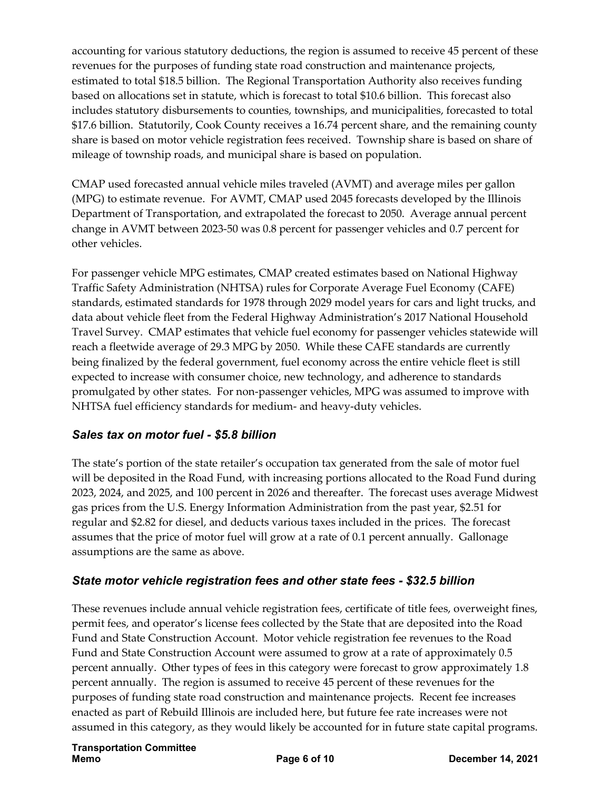accounting for various statutory deductions, the region is assumed to receive 45 percent of these revenues for the purposes of funding state road construction and maintenance projects, estimated to total \$18.5 billion. The Regional Transportation Authority also receives funding based on allocations set in statute, which is forecast to total \$10.6 billion. This forecast also includes statutory disbursements to counties, townships, and municipalities, forecasted to total \$17.6 billion. Statutorily, Cook County receives a 16.74 percent share, and the remaining county share is based on motor vehicle registration fees received. Township share is based on share of mileage of township roads, and municipal share is based on population.

CMAP used forecasted annual vehicle miles traveled (AVMT) and average miles per gallon (MPG) to estimate revenue. For AVMT, CMAP used 2045 forecasts developed by the Illinois Department of Transportation, and extrapolated the forecast to 2050. Average annual percent change in AVMT between 2023-50 was 0.8 percent for passenger vehicles and 0.7 percent for other vehicles.

For passenger vehicle MPG estimates, CMAP created estimates based on National Highway Traffic Safety Administration (NHTSA) rules for Corporate Average Fuel Economy (CAFE) standards, estimated standards for 1978 through 2029 model years for cars and light trucks, and data about vehicle fleet from the Federal Highway Administration's 2017 National Household Travel Survey. CMAP estimates that vehicle fuel economy for passenger vehicles statewide will reach a fleetwide average of 29.3 MPG by 2050. While these CAFE standards are currently being finalized by the federal government, fuel economy across the entire vehicle fleet is still expected to increase with consumer choice, new technology, and adherence to standards promulgated by other states. For non-passenger vehicles, MPG was assumed to improve with NHTSA fuel efficiency standards for medium- and heavy-duty vehicles.

### *Sales tax on motor fuel - \$5.8 billion*

The state's portion of the state retailer's occupation tax generated from the sale of motor fuel will be deposited in the Road Fund, with increasing portions allocated to the Road Fund during 2023, 2024, and 2025, and 100 percent in 2026 and thereafter. The forecast uses average Midwest gas prices from the U.S. Energy Information Administration from the past year, \$2.51 for regular and \$2.82 for diesel, and deducts various taxes included in the prices. The forecast assumes that the price of motor fuel will grow at a rate of 0.1 percent annually. Gallonage assumptions are the same as above.

### *State motor vehicle registration fees and other state fees - \$32.5 billion*

These revenues include annual vehicle registration fees, certificate of title fees, overweight fines, permit fees, and operator's license fees collected by the State that are deposited into the Road Fund and State Construction Account. Motor vehicle registration fee revenues to the Road Fund and State Construction Account were assumed to grow at a rate of approximately 0.5 percent annually. Other types of fees in this category were forecast to grow approximately 1.8 percent annually. The region is assumed to receive 45 percent of these revenues for the purposes of funding state road construction and maintenance projects. Recent fee increases enacted as part of Rebuild Illinois are included here, but future fee rate increases were not assumed in this category, as they would likely be accounted for in future state capital programs.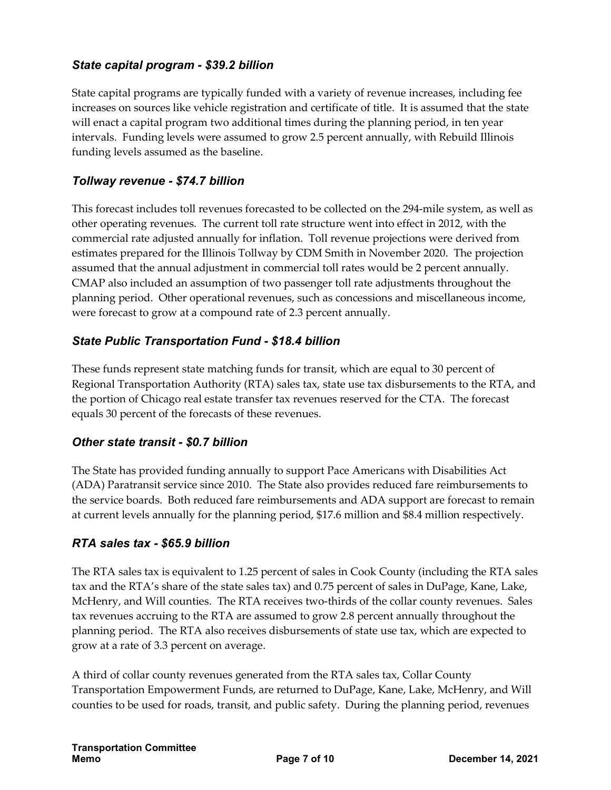### *State capital program - \$39.2 billion*

State capital programs are typically funded with a variety of revenue increases, including fee increases on sources like vehicle registration and certificate of title. It is assumed that the state will enact a capital program two additional times during the planning period, in ten year intervals. Funding levels were assumed to grow 2.5 percent annually, with Rebuild Illinois funding levels assumed as the baseline.

#### *Tollway revenue - \$74.7 billion*

This forecast includes toll revenues forecasted to be collected on the 294-mile system, as well as other operating revenues. The current toll rate structure went into effect in 2012, with the commercial rate adjusted annually for inflation. Toll revenue projections were derived from estimates prepared for the Illinois Tollway by CDM Smith in November 2020. The projection assumed that the annual adjustment in commercial toll rates would be 2 percent annually. CMAP also included an assumption of two passenger toll rate adjustments throughout the planning period. Other operational revenues, such as concessions and miscellaneous income, were forecast to grow at a compound rate of 2.3 percent annually.

#### *State Public Transportation Fund - \$18.4 billion*

These funds represent state matching funds for transit, which are equal to 30 percent of Regional Transportation Authority (RTA) sales tax, state use tax disbursements to the RTA, and the portion of Chicago real estate transfer tax revenues reserved for the CTA. The forecast equals 30 percent of the forecasts of these revenues.

#### *Other state transit - \$0.7 billion*

The State has provided funding annually to support Pace Americans with Disabilities Act (ADA) Paratransit service since 2010. The State also provides reduced fare reimbursements to the service boards. Both reduced fare reimbursements and ADA support are forecast to remain at current levels annually for the planning period, \$17.6 million and \$8.4 million respectively.

#### *RTA sales tax - \$65.9 billion*

The RTA sales tax is equivalent to 1.25 percent of sales in Cook County (including the RTA sales tax and the RTA's share of the state sales tax) and 0.75 percent of sales in DuPage, Kane, Lake, McHenry, and Will counties. The RTA receives two-thirds of the collar county revenues. Sales tax revenues accruing to the RTA are assumed to grow 2.8 percent annually throughout the planning period. The RTA also receives disbursements of state use tax, which are expected to grow at a rate of 3.3 percent on average.

A third of collar county revenues generated from the RTA sales tax, Collar County Transportation Empowerment Funds, are returned to DuPage, Kane, Lake, McHenry, and Will counties to be used for roads, transit, and public safety. During the planning period, revenues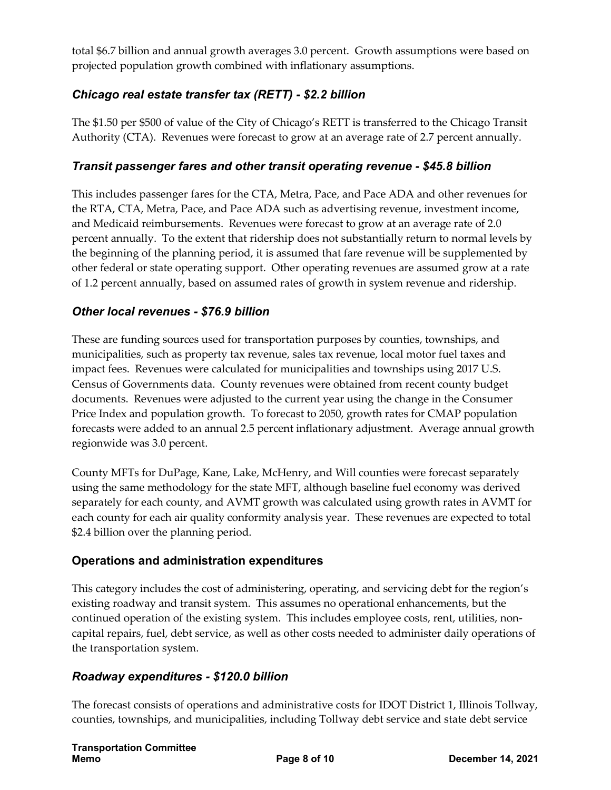total \$6.7 billion and annual growth averages 3.0 percent. Growth assumptions were based on projected population growth combined with inflationary assumptions.

## *Chicago real estate transfer tax (RETT) - \$2.2 billion*

The \$1.50 per \$500 of value of the City of Chicago's RETT is transferred to the Chicago Transit Authority (CTA). Revenues were forecast to grow at an average rate of 2.7 percent annually.

### *Transit passenger fares and other transit operating revenue - \$45.8 billion*

This includes passenger fares for the CTA, Metra, Pace, and Pace ADA and other revenues for the RTA, CTA, Metra, Pace, and Pace ADA such as advertising revenue, investment income, and Medicaid reimbursements. Revenues were forecast to grow at an average rate of 2.0 percent annually. To the extent that ridership does not substantially return to normal levels by the beginning of the planning period, it is assumed that fare revenue will be supplemented by other federal or state operating support. Other operating revenues are assumed grow at a rate of 1.2 percent annually, based on assumed rates of growth in system revenue and ridership.

#### *Other local revenues - \$76.9 billion*

These are funding sources used for transportation purposes by counties, townships, and municipalities, such as property tax revenue, sales tax revenue, local motor fuel taxes and impact fees. Revenues were calculated for municipalities and townships using 2017 U.S. Census of Governments data. County revenues were obtained from recent county budget documents. Revenues were adjusted to the current year using the change in the Consumer Price Index and population growth. To forecast to 2050, growth rates for CMAP population forecasts were added to an annual 2.5 percent inflationary adjustment. Average annual growth regionwide was 3.0 percent.

County MFTs for DuPage, Kane, Lake, McHenry, and Will counties were forecast separately using the same methodology for the state MFT, although baseline fuel economy was derived separately for each county, and AVMT growth was calculated using growth rates in AVMT for each county for each air quality conformity analysis year. These revenues are expected to total \$2.4 billion over the planning period.

#### **Operations and administration expenditures**

This category includes the cost of administering, operating, and servicing debt for the region's existing roadway and transit system. This assumes no operational enhancements, but the continued operation of the existing system. This includes employee costs, rent, utilities, noncapital repairs, fuel, debt service, as well as other costs needed to administer daily operations of the transportation system.

### *Roadway expenditures - \$120.0 billion*

The forecast consists of operations and administrative costs for IDOT District 1, Illinois Tollway, counties, townships, and municipalities, including Tollway debt service and state debt service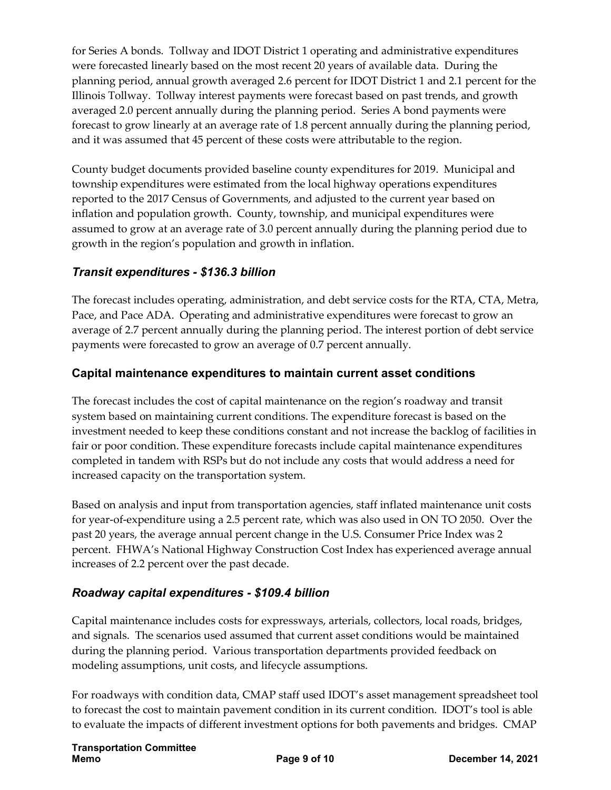for Series A bonds. Tollway and IDOT District 1 operating and administrative expenditures were forecasted linearly based on the most recent 20 years of available data. During the planning period, annual growth averaged 2.6 percent for IDOT District 1 and 2.1 percent for the Illinois Tollway. Tollway interest payments were forecast based on past trends, and growth averaged 2.0 percent annually during the planning period. Series A bond payments were forecast to grow linearly at an average rate of 1.8 percent annually during the planning period, and it was assumed that 45 percent of these costs were attributable to the region.

County budget documents provided baseline county expenditures for 2019. Municipal and township expenditures were estimated from the local highway operations expenditures reported to the 2017 Census of Governments, and adjusted to the current year based on inflation and population growth. County, township, and municipal expenditures were assumed to grow at an average rate of 3.0 percent annually during the planning period due to growth in the region's population and growth in inflation.

### *Transit expenditures - \$136.3 billion*

The forecast includes operating, administration, and debt service costs for the RTA, CTA, Metra, Pace, and Pace ADA. Operating and administrative expenditures were forecast to grow an average of 2.7 percent annually during the planning period. The interest portion of debt service payments were forecasted to grow an average of 0.7 percent annually.

### **Capital maintenance expenditures to maintain current asset conditions**

The forecast includes the cost of capital maintenance on the region's roadway and transit system based on maintaining current conditions. The expenditure forecast is based on the investment needed to keep these conditions constant and not increase the backlog of facilities in fair or poor condition. These expenditure forecasts include capital maintenance expenditures completed in tandem with RSPs but do not include any costs that would address a need for increased capacity on the transportation system.

Based on analysis and input from transportation agencies, staff inflated maintenance unit costs for year-of-expenditure using a 2.5 percent rate, which was also used in ON TO 2050. Over the past 20 years, the average annual percent change in the U.S. Consumer Price Index was 2 percent. FHWA's National Highway Construction Cost Index has experienced average annual increases of 2.2 percent over the past decade.

### *Roadway capital expenditures - \$109.4 billion*

Capital maintenance includes costs for expressways, arterials, collectors, local roads, bridges, and signals. The scenarios used assumed that current asset conditions would be maintained during the planning period. Various transportation departments provided feedback on modeling assumptions, unit costs, and lifecycle assumptions.

For roadways with condition data, CMAP staff used IDOT's asset management spreadsheet tool to forecast the cost to maintain pavement condition in its current condition. IDOT's tool is able to evaluate the impacts of different investment options for both pavements and bridges. CMAP